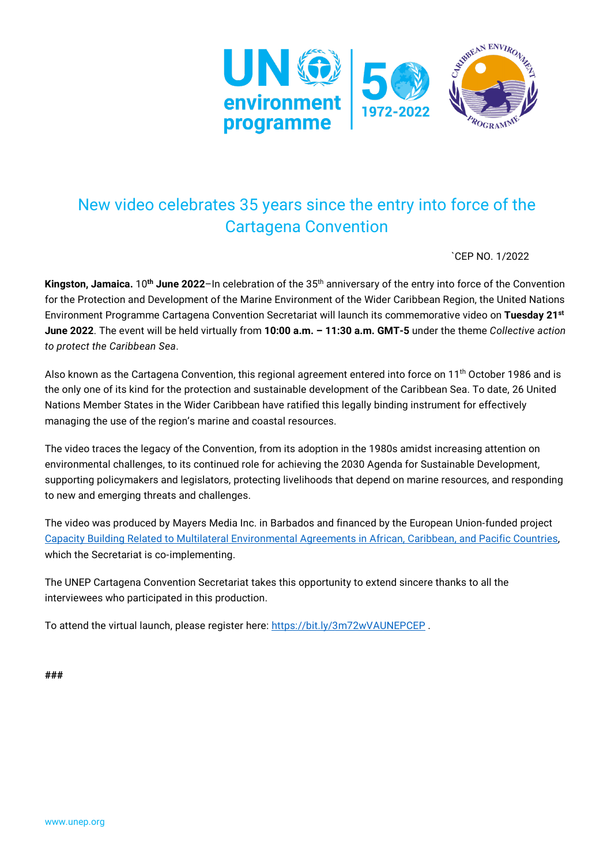

## New video celebrates 35 years since the entry into force of the Cartagena Convention

`CEP NO. 1/2022

**Kingston, Jamaica.** 10**th June 2022**–In celebration of the 35th anniversary of the entry into force of the Convention for the Protection and Development of the Marine Environment of the Wider Caribbean Region, the United Nations Environment Programme Cartagena Convention Secretariat will launch its commemorative video on **Tuesday 21st June 2022**. The event will be held virtually from **10:00 a.m. – 11:30 a.m. GMT-5** under the theme *Collective action to protect the Caribbean Sea*.

Also known as the Cartagena Convention, this regional agreement entered into force on 11th October 1986 and is the only one of its kind for the protection and sustainable development of the Caribbean Sea. To date, 26 United Nations Member States in the Wider Caribbean have ratified this legally binding instrument for effectively managing the use of the region's marine and coastal resources.

The video traces the legacy of the Convention, from its adoption in the 1980s amidst increasing attention on environmental challenges, to its continued role for achieving the 2030 Agenda for Sustainable Development, supporting policymakers and legislators, protecting livelihoods that depend on marine resources, and responding to new and emerging threats and challenges.

The video was produced by Mayers Media Inc. in Barbados and financed by the European Union-funded project [Capacity Building Related to Multilateral Environmental Agreements in African, Caribbean, and Pacific Countries,](https://www.unep.org/cep/multilateral-environmental-agreements-acp-countries-phase-iii-acp-meas-3) which the Secretariat is co-implementing.

The UNEP Cartagena Convention Secretariat takes this opportunity to extend sincere thanks to all the interviewees who participated in this production.

To attend the virtual launch, please register here:<https://bit.ly/3m72wVAUNEPCEP>.

**###**